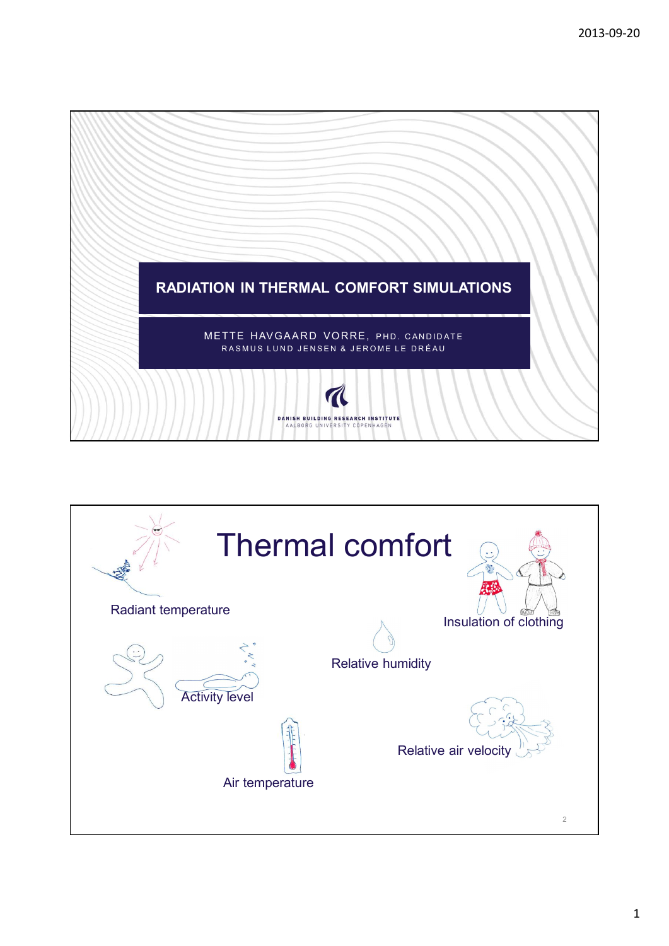

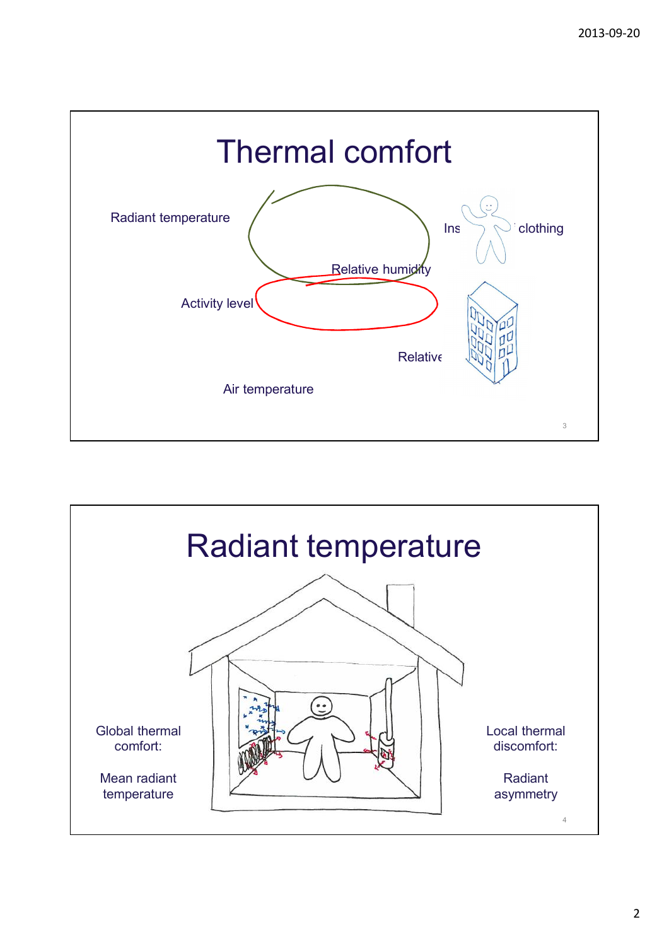

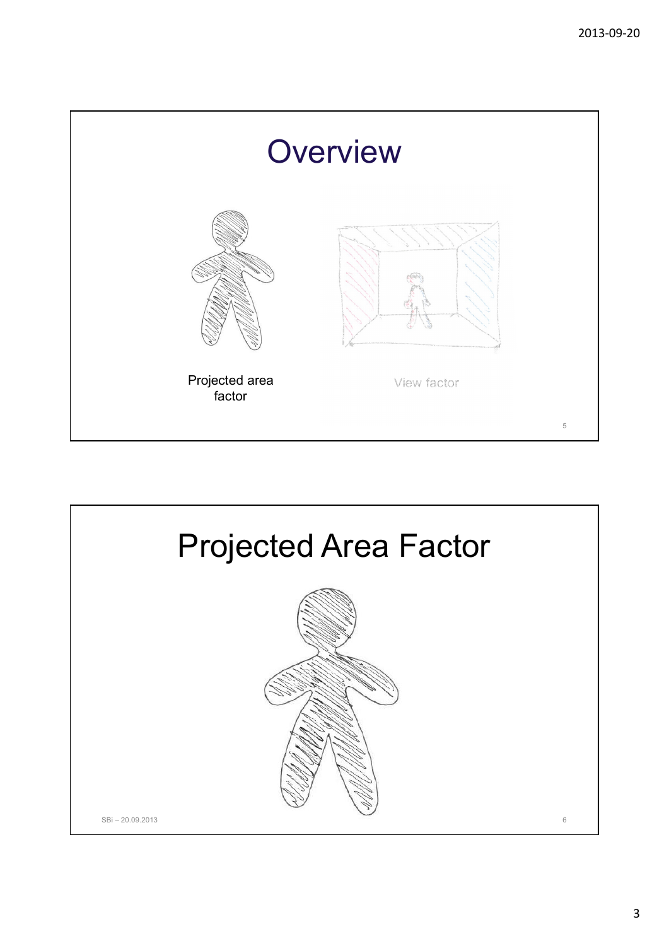

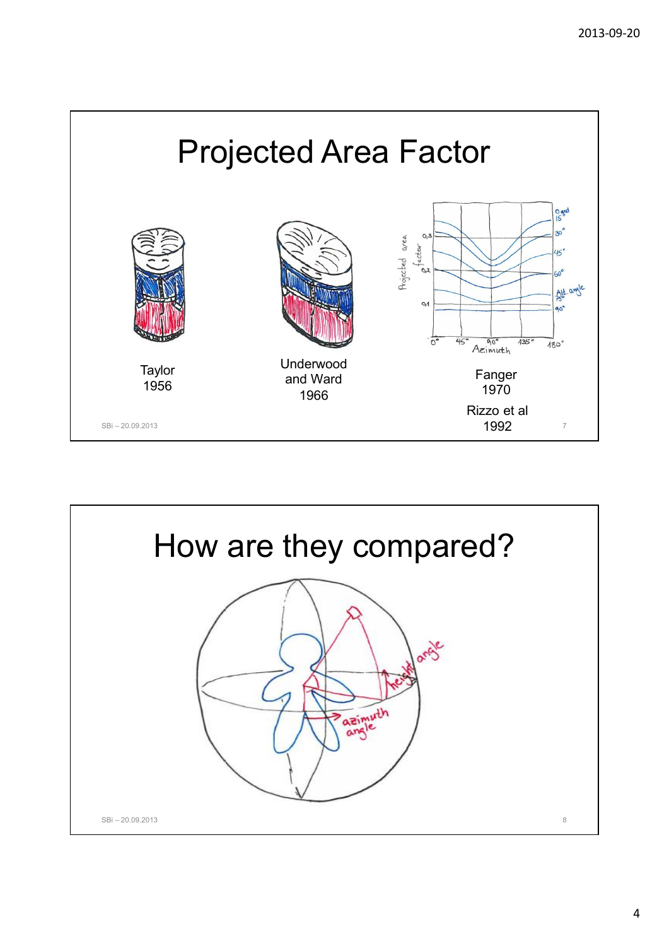

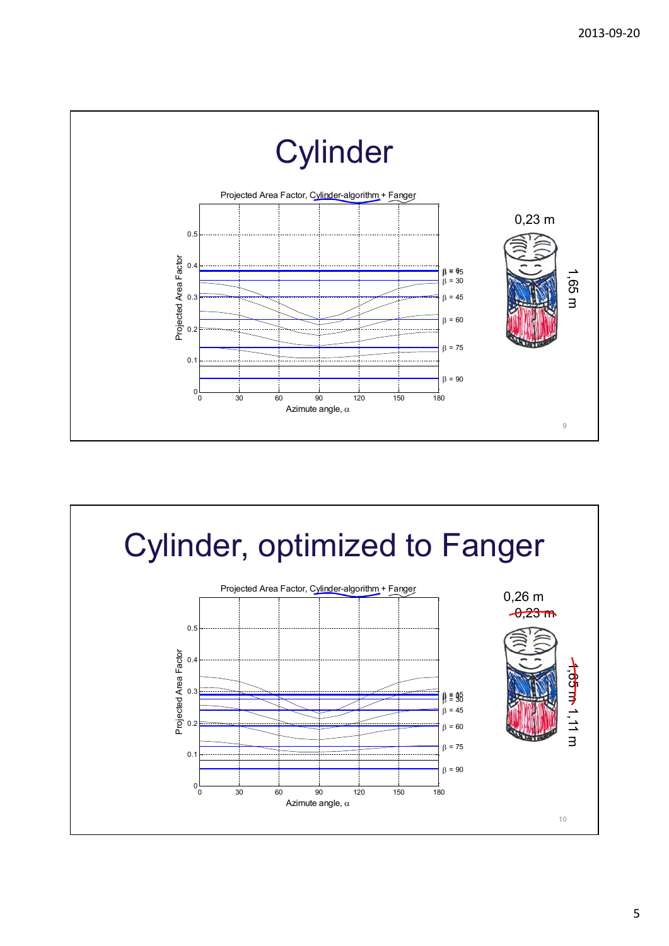

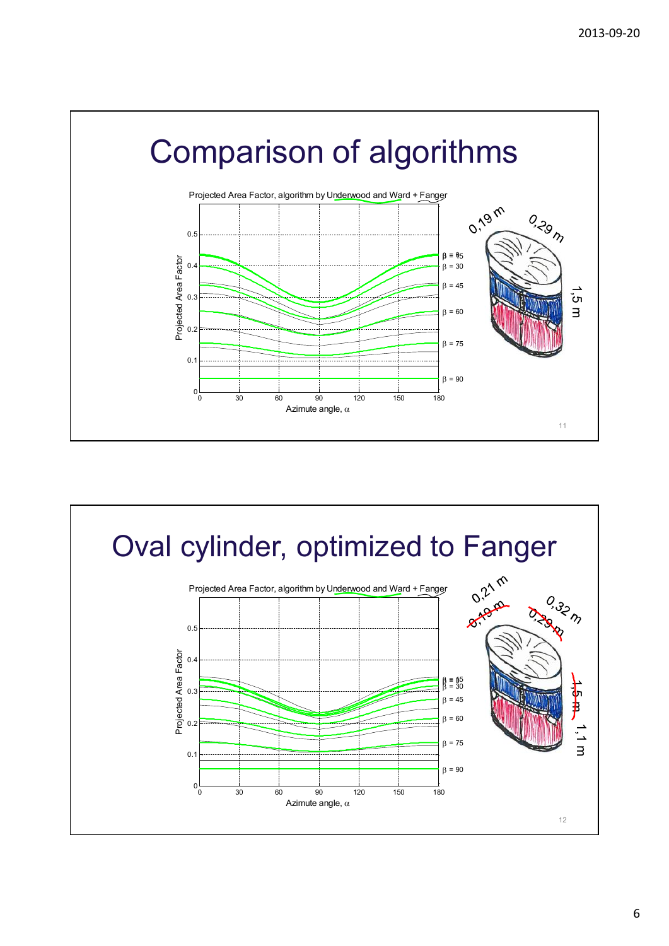

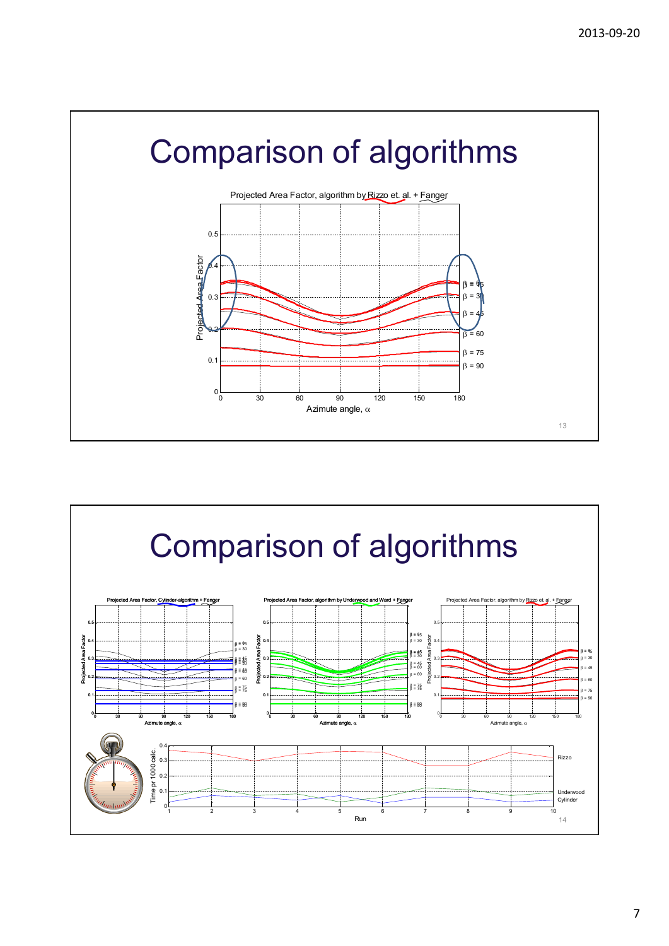

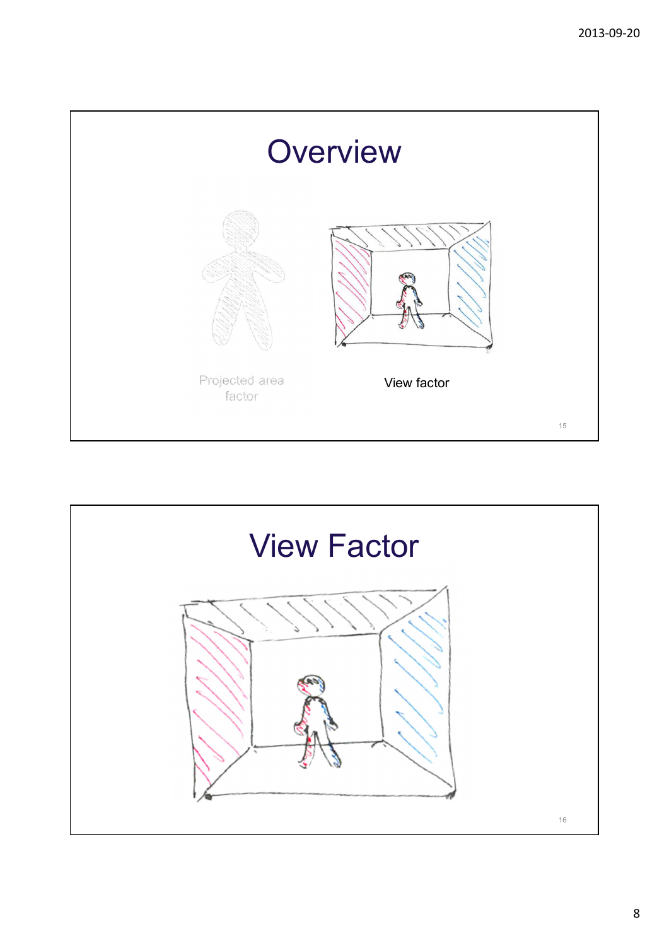

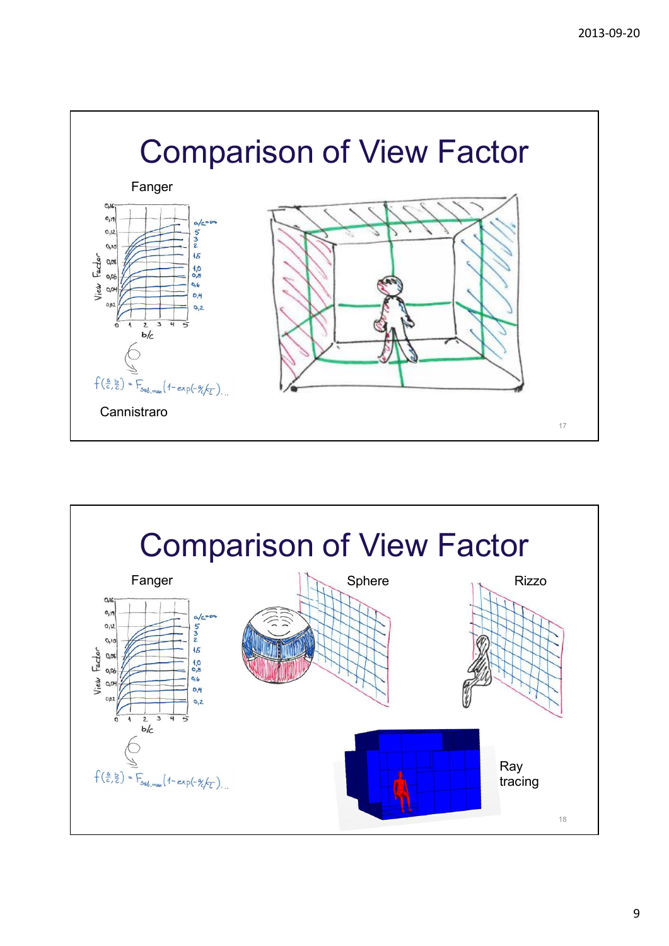

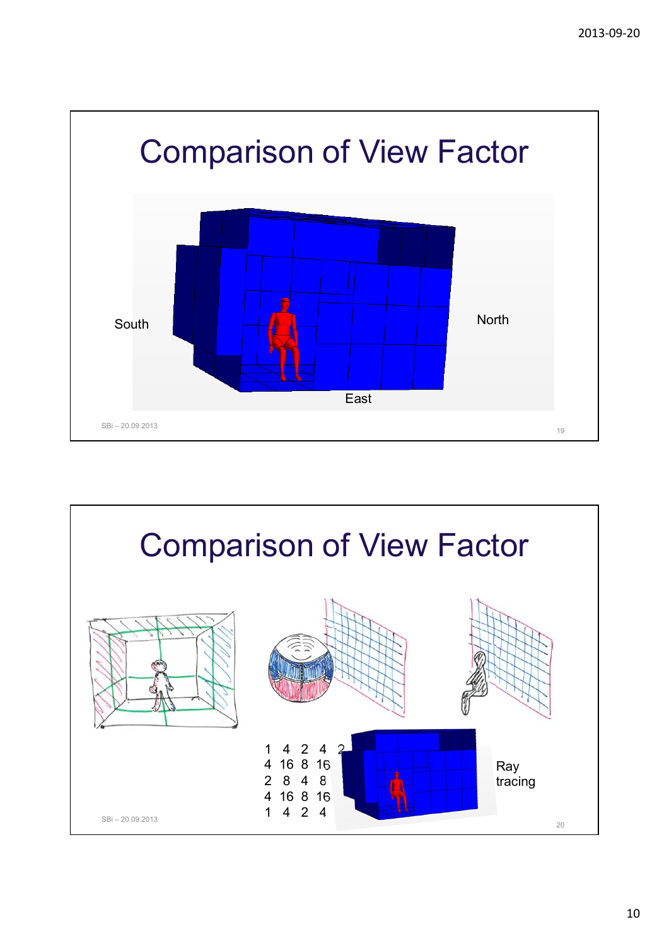

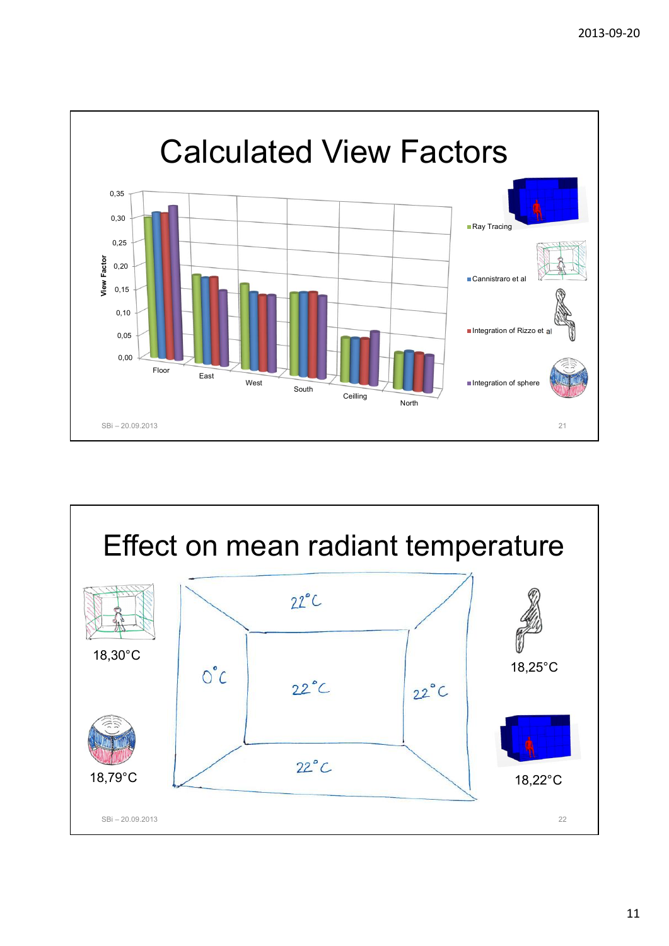

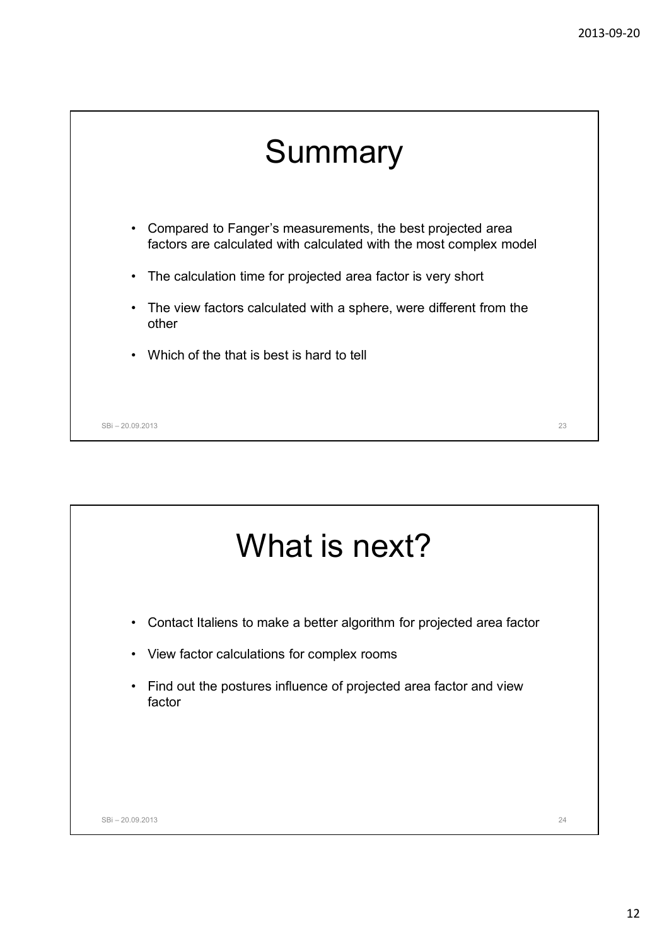## **Summary**

- Compared to Fanger's measurements, the best projected area factors are calculated with calculated with the most complex model
- The calculation time for projected area factor is very short
- The view factors calculated with a sphere, were different from the other
- Which of the that is best is hard to tell

SBi – 20.09.2013 23

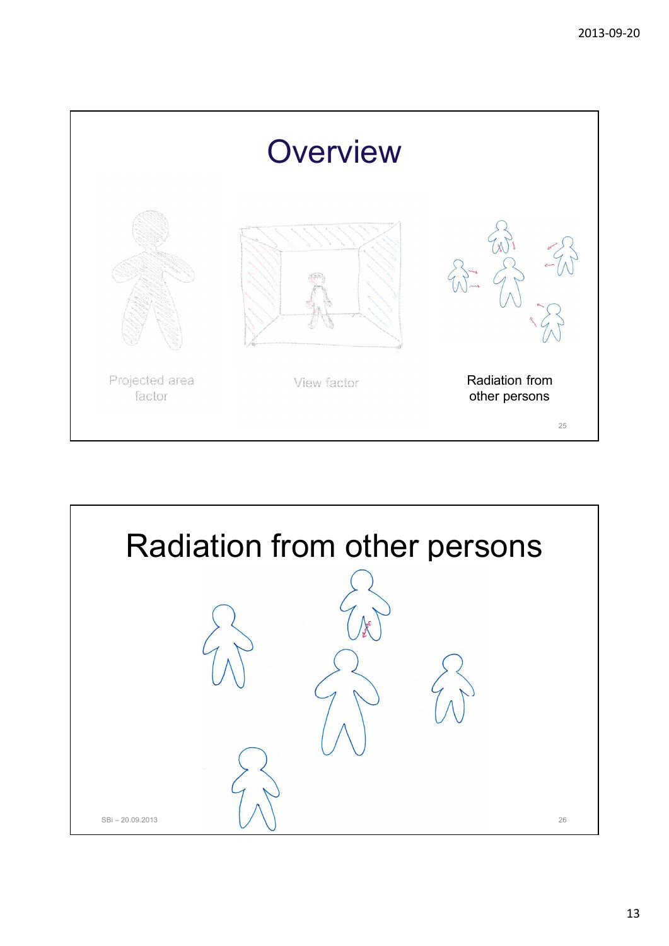